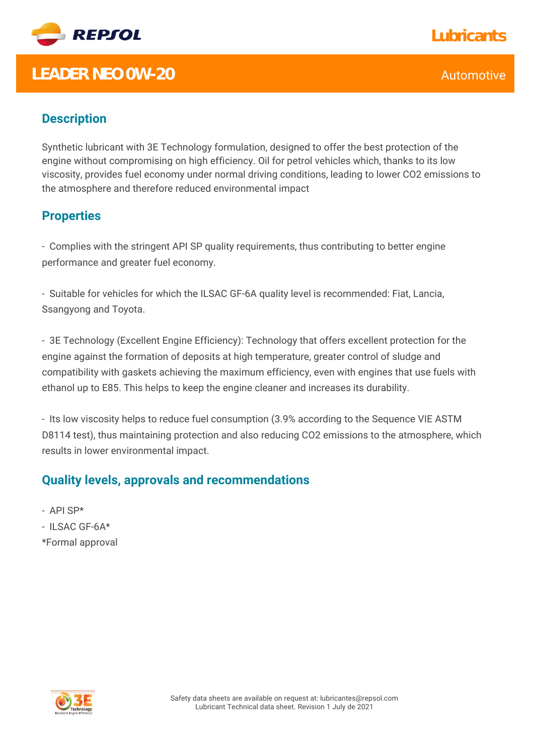

# **LEADER NEO OW-20** Automotive **Automotive**

### **Description**

Synthetic lubricant with 3E Technology formulation, designed to offer the best protection of the engine without compromising on high efficiency. Oil for petrol vehicles which, thanks to its low viscosity, provides fuel economy under normal driving conditions, leading to lower CO2 emissions to the atmosphere and therefore reduced environmental impact

#### **Properties**

- Complies with the stringent API SP quality requirements, thus contributing to better engine performance and greater fuel economy.

- Suitable for vehicles for which the ILSAC GF-6A quality level is recommended: Fiat, Lancia, Ssangyong and Toyota.

- 3E Technology (Excellent Engine Efficiency): Technology that offers excellent protection for the engine against the formation of deposits at high temperature, greater control of sludge and compatibility with gaskets achieving the maximum efficiency, even with engines that use fuels with ethanol up to E85. This helps to keep the engine cleaner and increases its durability.

- Its low viscosity helps to reduce fuel consumption (3.9% according to the Sequence VIE ASTM D8114 test), thus maintaining protection and also reducing CO2 emissions to the atmosphere, which results in lower environmental impact.

#### **Quality levels, approvals and recommendations**

- API SP\*

- ILSAC GF-6A\*
- \*Formal approval